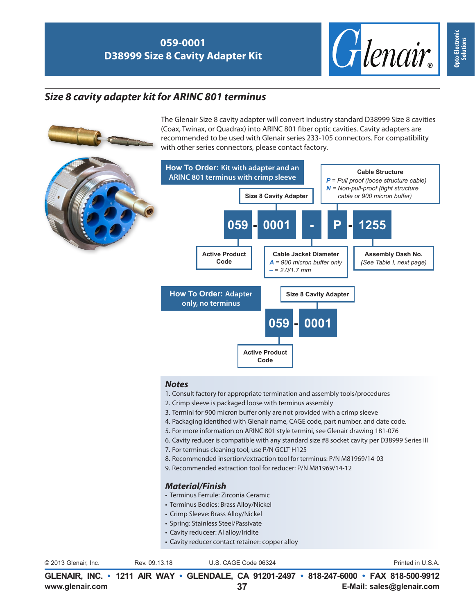### **059-0001 D38999 Size 8 Cavity Adapter Kit**



## *Size 8 cavity adapter kit for ARINC 801 terminus*

The Glenair Size 8 cavity adapter will convert industry standard D38999 Size 8 cavities (Coax, Twinax, or Quadrax) into ARINC 801 fiber optic cavities. Cavity adapters are recommended to be used with Glenair series 233-105 connectors. For compatibility with other series connectors, please contact factory.



### *Notes*

- 1. Consult factory for appropriate termination and assembly tools/procedures
- 2. Crimp sleeve is packaged loose with terminus assembly
- 3. Termini for 900 micron buffer only are not provided with a crimp sleeve
- 4. Packaging identified with Glenair name, CAGE code, part number, and date code.
- 5. For more information on ARINC 801 style termini, see Glenair drawing 181-076
- 6. Cavity reducer is compatible with any standard size #8 socket cavity per D38999 Series III
- 7. For terminus cleaning tool, use P/N GCLT-H125
- 8. Recommended insertion/extraction tool for terminus: P/N M81969/14-03
- 9. Recommended extraction tool for reducer: P/N M81969/14-12

#### *Material/Finish*

- Terminus Ferrule: Zirconia Ceramic
- Terminus Bodies: Brass Alloy/Nickel
- Crimp Sleeve: Brass Alloy/Nickel
- Spring: Stainless Steel/Passivate
- Cavity reduceer: Al alloy/Iridite
- Cavity reducer contact retainer: copper alloy

© 2013 Glenair, Inc. U.S. CAGE Code 06324 Printed in U.S.A.

Rev. 09.13.18

**www.glenair.com E-Mail: sales@glenair.com GLENAIR, INC. • 1211 AIR WAY • GLENDALE, CA 91201-2497 • 818-247-6000 • FAX 818-500-9912 37**